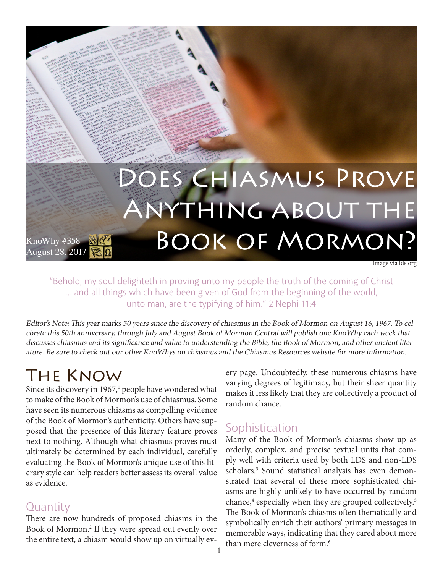

"Behold, my soul delighteth in proving unto my people the truth of the coming of Christ … and all things which have been given of God from the beginning of the world, unto man, are the typifying of him." 2 Nephi 11:4

Editor's Note: This year marks 50 years since the discovery of chiasmus in the Book of Mormon on August 16, 1967. To celebrate this 50th anniversary, through July and August Book of Mormon Central will publish one KnoWhy each week that discusses chiasmus and its significance and value to understanding the Bible, the Book of Mormon, and other ancient literature. Be sure to check out our other KnoWhys on chiasmus and the Chiasmus Resources website for more information.

# The Know

Since its discovery in  $1967<sup>1</sup>$  people have wondered what to make of the Book of Mormon's use of chiasmus. Some have seen its numerous chiasms as compelling evidence of the Book of Mormon's authenticity. Others have supposed that the presence of this literary feature proves next to nothing. Although what chiasmus proves must ultimately be determined by each individual, carefully evaluating the Book of Mormon's unique use of this literary style can help readers better assess its overall value as evidence.

#### **Quantity**

There are now hundreds of proposed chiasms in the Book of Mormon.2 If they were spread out evenly over the entire text, a chiasm would show up on virtually every page. Undoubtedly, these numerous chiasms have varying degrees of legitimacy, but their sheer quantity makes it less likely that they are collectively a product of random chance.

### **Sophistication**

Many of the Book of Mormon's chiasms show up as orderly, complex, and precise textual units that comply well with criteria used by both LDS and non-LDS scholars.<sup>3</sup> Sound statistical analysis has even demonstrated that several of these more sophisticated chiasms are highly unlikely to have occurred by random chance,<sup>4</sup> especially when they are grouped collectively.<sup>5</sup> The Book of Mormon's chiasms often thematically and symbolically enrich their authors' primary messages in memorable ways, indicating that they cared about more than mere cleverness of form.<sup>6</sup>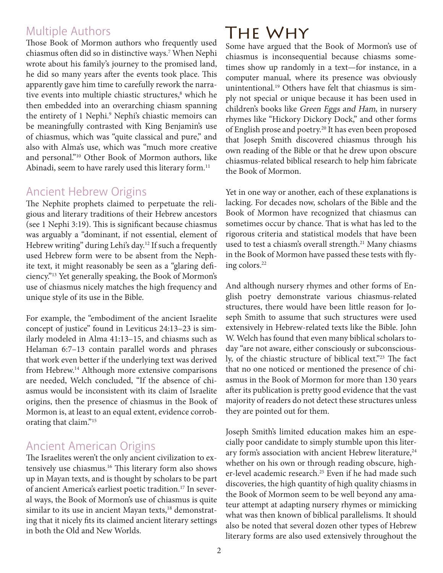#### Multiple Authors

Those Book of Mormon authors who frequently used chiasmus often did so in distinctive ways.7 When Nephi wrote about his family's journey to the promised land, he did so many years after the events took place. This apparently gave him time to carefully rework the narrative events into multiple chiastic structures,<sup>8</sup> which he then embedded into an overarching chiasm spanning the entirety of 1 Nephi.<sup>9</sup> Nephi's chiastic memoirs can be meaningfully contrasted with King Benjamin's use of chiasmus, which was "quite classical and pure," and also with Alma's use, which was "much more creative and personal."10 Other Book of Mormon authors, like Abinadi, seem to have rarely used this literary form.<sup>11</sup>

#### Ancient Hebrew Origins

The Nephite prophets claimed to perpetuate the religious and literary traditions of their Hebrew ancestors (see 1 Nephi 3:19). This is significant because chiasmus was arguably a "dominant, if not essential, element of Hebrew writing" during Lehi's day.<sup>12</sup> If such a frequently used Hebrew form were to be absent from the Nephite text, it might reasonably be seen as a "glaring deficiency."13 Yet generally speaking, the Book of Mormon's use of chiasmus nicely matches the high frequency and unique style of its use in the Bible.

For example, the "embodiment of the ancient Israelite concept of justice" found in Leviticus 24:13–23 is similarly modeled in Alma 41:13–15, and chiasms such as Helaman 6:7–13 contain parallel words and phrases that work even better if the underlying text was derived from Hebrew.14 Although more extensive comparisons are needed, Welch concluded, "If the absence of chiasmus would be inconsistent with its claim of Israelite origins, then the presence of chiasmus in the Book of Mormon is, at least to an equal extent, evidence corroborating that claim."15

### Ancient American Origins

The Israelites weren't the only ancient civilization to extensively use chiasmus.16 This literary form also shows up in Mayan texts, and is thought by scholars to be part of ancient America's earliest poetic tradition.17 In several ways, the Book of Mormon's use of chiasmus is quite similar to its use in ancient Mayan texts,<sup>18</sup> demonstrating that it nicely fits its claimed ancient literary settings in both the Old and New Worlds.

## The Why

Some have argued that the Book of Mormon's use of chiasmus is inconsequential because chiasms sometimes show up randomly in a text—for instance, in a computer manual, where its presence was obviously unintentional.19 Others have felt that chiasmus is simply not special or unique because it has been used in children's books like Green Eggs and Ham, in nursery rhymes like "Hickory Dickory Dock," and other forms of English prose and poetry.<sup>20</sup> It has even been proposed that Joseph Smith discovered chiasmus through his own reading of the Bible or that he drew upon obscure chiasmus-related biblical research to help him fabricate the Book of Mormon.

Yet in one way or another, each of these explanations is lacking. For decades now, scholars of the Bible and the Book of Mormon have recognized that chiasmus can sometimes occur by chance. That is what has led to the rigorous criteria and statistical models that have been used to test a chiasm's overall strength.<sup>21</sup> Many chiasms in the Book of Mormon have passed these tests with flying colors.22

And although nursery rhymes and other forms of English poetry demonstrate various chiasmus-related structures, there would have been little reason for Joseph Smith to assume that such structures were used extensively in Hebrew-related texts like the Bible. John W. Welch has found that even many biblical scholars today "are not aware, either consciously or subconsciously, of the chiastic structure of biblical text."23 The fact that no one noticed or mentioned the presence of chiasmus in the Book of Mormon for more than 130 years after its publication is pretty good evidence that the vast majority of readers do not detect these structures unless they are pointed out for them.

Joseph Smith's limited education makes him an especially poor candidate to simply stumble upon this literary form's association with ancient Hebrew literature,<sup>24</sup> whether on his own or through reading obscure, higher-level academic research.<sup>25</sup> Even if he had made such discoveries, the high quantity of high quality chiasms in the Book of Mormon seem to be well beyond any amateur attempt at adapting nursery rhymes or mimicking what was then known of biblical parallelisms. It should also be noted that several dozen other types of Hebrew literary forms are also used extensively throughout the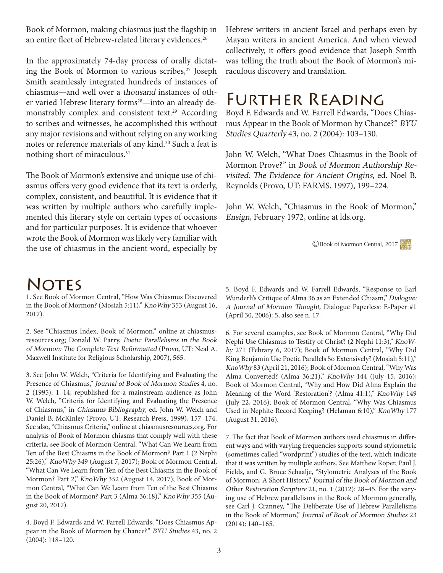Book of Mormon, making chiasmus just the flagship in an entire fleet of Hebrew-related literary evidences.<sup>26</sup>

In the approximately 74-day process of orally dictating the Book of Mormon to various scribes,<sup>27</sup> Joseph Smith seamlessly integrated hundreds of instances of chiasmus—and well over a thousand instances of other varied Hebrew literary forms<sup>28</sup>—into an already demonstrably complex and consistent text.29 According to scribes and witnesses, he accomplished this without any major revisions and without relying on any working notes or reference materials of any kind.<sup>30</sup> Such a feat is nothing short of miraculous.<sup>31</sup>

The Book of Mormon's extensive and unique use of chiasmus offers very good evidence that its text is orderly, complex, consistent, and beautiful. It is evidence that it was written by multiple authors who carefully implemented this literary style on certain types of occasions and for particular purposes. It is evidence that whoever wrote the Book of Mormon was likely very familiar with the use of chiasmus in the ancient word, especially by

## **NOTES**

1. See Book of Mormon Central, "How Was Chiasmus Discovered in the Book of Mormon? (Mosiah 5:11)," KnoWhy 353 (August 16, 2017).

2. See "Chiasmus Index, Book of Mormon," online at chiasmusresources.org; Donald W. Parry, Poetic Parallelisms in the Book of Mormon: The Complete Text Reformatted (Provo, UT: Neal A. Maxwell Institute for Religious Scholarship, 2007), 565.

3. See John W. Welch, "Criteria for Identifying and Evaluating the Presence of Chiasmus," Journal of Book of Mormon Studies 4, no. 2 (1995): 1–14; republished for a mainstream audience as John W. Welch, "Criteria for Identifying and Evaluating the Presence of Chiasmus," in Chiasmus Bibliography, ed. John W. Welch and Daniel B. McKinley (Provo, UT: Research Press, 1999), 157–174. See also, "Chiasmus Criteria," online at chiasmusresources.org. For analysis of Book of Mormon chiasms that comply well with these criteria, see Book of Mormon Central, "What Can We Learn from Ten of the Best Chiasms in the Book of Mormon? Part 1 (2 Nephi 25:26)," KnoWhy 349 (August 7, 2017); Book of Mormon Central, "What Can We Learn from Ten of the Best Chiasms in the Book of Mormon? Part 2," KnoWhy 352 (August 14, 2017); Book of Mormon Central, "What Can We Learn from Ten of the Best Chiasms in the Book of Mormon? Part 3 (Alma 36:18)," KnoWhy 355 (August 20, 2017).

4. Boyd F. Edwards and W. Farrell Edwards, "Does Chiasmus Appear in the Book of Mormon by Chance?" BYU Studies 43, no. 2 (2004): 118–120.

Hebrew writers in ancient Israel and perhaps even by Mayan writers in ancient America. And when viewed collectively, it offers good evidence that Joseph Smith was telling the truth about the Book of Mormon's miraculous discovery and translation.

### Further Reading

Boyd F. Edwards and W. Farrell Edwards, "Does Chiasmus Appear in the Book of Mormon by Chance?" BYU Studies Quarterly 43, no. 2 (2004): 103–130.

John W. Welch, "What Does Chiasmus in the Book of Mormon Prove?" in Book of Mormon Authorship Revisited: The Evidence for Ancient Origins, ed. Noel B. Reynolds (Provo, UT: FARMS, 1997), 199–224.

John W. Welch, "Chiasmus in the Book of Mormon," Ensign, February 1972, online at lds.org.

©Book of Mormon Central, 2017

5. Boyd F. Edwards and W. Farrell Edwards, "Response to Earl Wunderli's Critique of Alma 36 as an Extended Chiasm," Dialogue: A Journal of Mormon Thought, Dialogue Paperless: E-Paper #1 (April 30, 2006): 5, also see n. 17.

6. For several examples, see Book of Mormon Central, "Why Did Nephi Use Chiasmus to Testify of Christ? (2 Nephi 11:3)," KnoWhy 271 (Febrary 6, 2017); Book of Mormon Central, "Why Did King Benjamin Use Poetic Parallels So Extensively? (Mosiah 5:11)," KnoWhy 83 (April 21, 2016); Book of Mormon Central, "Why Was Alma Converted? (Alma 36:21)," KnoWhy 144 (July 15, 2016); Book of Mormon Central, "Why and How Did Alma Explain the Meaning of the Word 'Restoration'? (Alma 41:1)," KnoWhy 149 (July 22, 2016); Book of Mormon Central, "Why Was Chiasmus Used in Nephite Record Keeping? (Helaman 6:10)," KnoWhy 177 (August 31, 2016).

7. The fact that Book of Mormon authors used chiasmus in different ways and with varying frequencies supports sound stylometric (sometimes called "wordprint") studies of the text, which indicate that it was written by multiple authors. See Matthew Roper, Paul J. Fields, and G. Bruce Schaalje, "Stylometric Analyses of the Book of Mormon: A Short History," Journal of the Book of Mormon and Other Restoration Scripture 21, no. 1 (2012): 28–45. For the varying use of Hebrew parallelisms in the Book of Mormon generally, see Carl J. Cranney, "The Deliberate Use of Hebrew Parallelisms in the Book of Mormon," Journal of Book of Mormon Studies 23 (2014): 140–165.